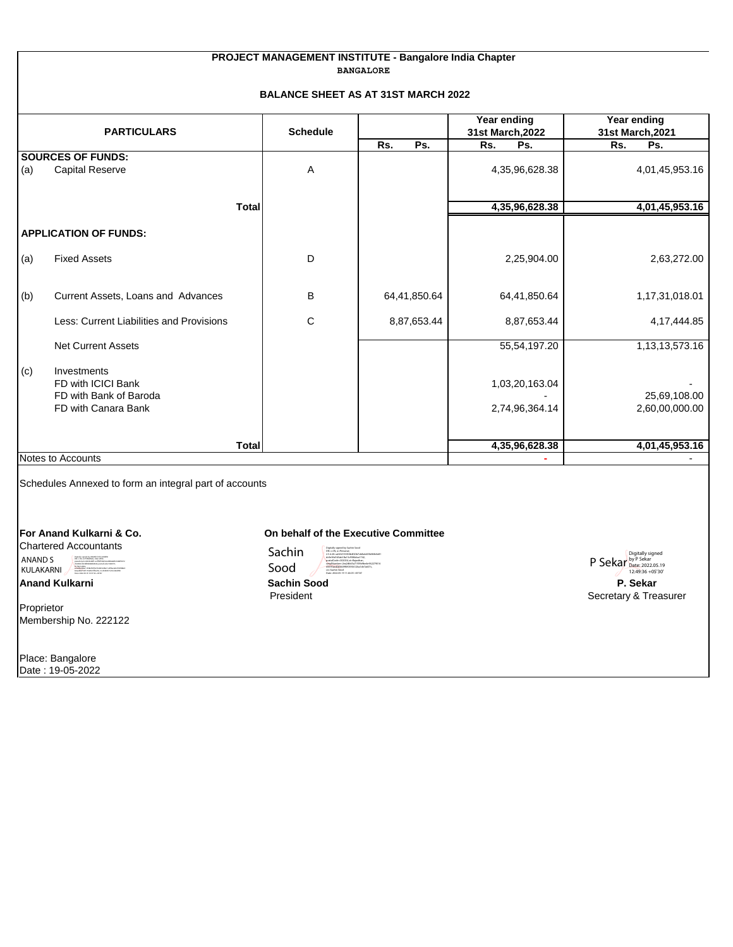## **PROJECT MANAGEMENT INSTITUTE - Bangalore India Chapter BANGALORE**

## **BALANCE SHEET AS AT 31ST MARCH 2022**

|                                                | <b>PARTICULARS</b>                                                                 | <b>Schedule</b>                 | Rs.                                  | Year ending<br>31st March, 2022  | Year ending<br>31st March, 2021<br>Ps.           |
|------------------------------------------------|------------------------------------------------------------------------------------|---------------------------------|--------------------------------------|----------------------------------|--------------------------------------------------|
|                                                | <b>SOURCES OF FUNDS:</b>                                                           |                                 | Ps.                                  | Ps.<br>Rs.                       | Rs.                                              |
| (a)                                            | <b>Capital Reserve</b>                                                             | Α                               |                                      | 4,35,96,628.38                   | 4,01,45,953.16                                   |
|                                                | <b>Total</b>                                                                       |                                 |                                      | 4,35,96,628.38                   | 4,01,45,953.16                                   |
|                                                | <b>APPLICATION OF FUNDS:</b>                                                       |                                 |                                      |                                  |                                                  |
| (a)                                            | <b>Fixed Assets</b>                                                                | D                               |                                      | 2,25,904.00                      | 2,63,272.00                                      |
| (b)                                            | Current Assets, Loans and Advances                                                 | B                               | 64,41,850.64                         | 64,41,850.64                     | 1,17,31,018.01                                   |
|                                                | Less: Current Liabilities and Provisions                                           | $\mathbf C$                     | 8,87,653.44                          | 8,87,653.44                      | 4, 17, 444.85                                    |
|                                                | Net Current Assets                                                                 |                                 |                                      | 55,54,197.20                     | 1, 13, 13, 573. 16                               |
| (c)                                            | Investments<br>FD with ICICI Bank<br>FD with Bank of Baroda<br>FD with Canara Bank |                                 |                                      | 1,03,20,163.04<br>2,74,96,364.14 | 25,69,108.00<br>2,60,00,000.00                   |
|                                                | <b>Total</b>                                                                       |                                 |                                      | 4,35,96,628.38                   | 4,01,45,953.16                                   |
|                                                | Notes to Accounts                                                                  |                                 |                                      |                                  |                                                  |
|                                                | Schedules Annexed to form an integral part of accounts                             |                                 |                                      |                                  |                                                  |
|                                                | For Anand Kulkarni & Co.                                                           |                                 | On behalf of the Executive Committee |                                  |                                                  |
| <b>Chartered Accountants</b><br><b>ANAND S</b> |                                                                                    | Sachin                          |                                      |                                  | Digitally signed                                 |
| KULAKARNI                                      |                                                                                    | Sood                            |                                      |                                  | P Sekar by P Sekar 2022.05.19<br>12:49:36 +05'30 |
| <b>Anand Kulkarni</b>                          |                                                                                    | <b>Sachin Sood</b><br>President |                                      |                                  | P. Sekar<br>Secretary & Treasurer                |
| Proprietor                                     | Membership No. 222122                                                              |                                 |                                      |                                  |                                                  |
|                                                | Place: Bangalore                                                                   |                                 |                                      |                                  |                                                  |

Date : 19-05-2022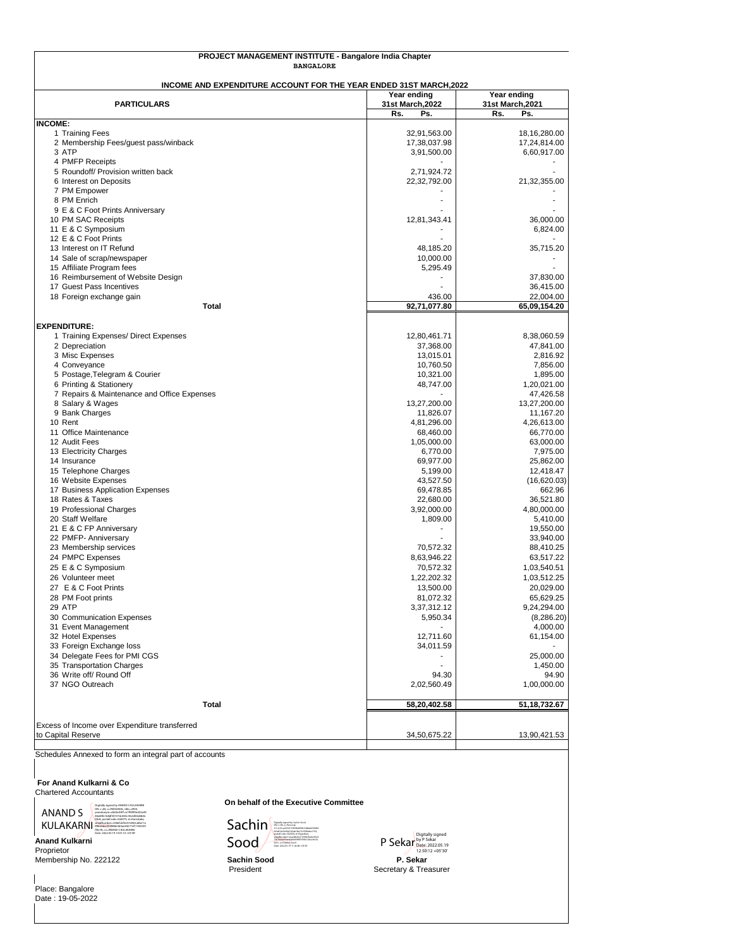| PROJECT MANAGEMENT INSTITUTE - Bangalore India Chapter<br><b>BANGALORE</b> |                                 |                                 |  |  |
|----------------------------------------------------------------------------|---------------------------------|---------------------------------|--|--|
| INCOME AND EXPENDITURE ACCOUNT FOR THE YEAR ENDED 31ST MARCH, 2022         |                                 |                                 |  |  |
| <b>PARTICULARS</b>                                                         | Year ending<br>31st March, 2022 | Year ending<br>31st March, 2021 |  |  |
|                                                                            | Rs.<br>Ps.                      | Rs.<br>Ps.                      |  |  |
| <b>INCOME:</b><br>1 Training Fees                                          | 32,91,563.00                    | 18, 16, 280.00                  |  |  |
| 2 Membership Fees/guest pass/winback                                       | 17,38,037.98                    | 17,24,814.00                    |  |  |
| 3 ATP                                                                      | 3,91,500.00                     | 6,60,917.00                     |  |  |
| 4 PMFP Receipts                                                            |                                 |                                 |  |  |
| 5 Roundoff/ Provision written back<br>6 Interest on Deposits               | 2,71,924.72<br>22,32,792.00     | 21,32,355.00                    |  |  |
| 7 PM Empower                                                               |                                 |                                 |  |  |
| 8 PM Enrich                                                                |                                 |                                 |  |  |
| 9 E & C Foot Prints Anniversary                                            |                                 |                                 |  |  |
| 10 PM SAC Receipts<br>11 E & C Symposium                                   | 12,81,343.41                    | 36,000.00<br>6,824.00           |  |  |
| 12 E & C Foot Prints                                                       |                                 |                                 |  |  |
| 13 Interest on IT Refund                                                   | 48,185.20                       | 35,715.20                       |  |  |
| 14 Sale of scrap/newspaper                                                 | 10,000.00                       | ۰                               |  |  |
| 15 Affiliate Program fees                                                  | 5,295.49                        |                                 |  |  |
| 16 Reimbursement of Website Design<br>17 Guest Pass Incentives             |                                 | 37,830.00<br>36,415.00          |  |  |
| 18 Foreign exchange gain                                                   | 436.00                          | 22,004.00                       |  |  |
| <b>Total</b>                                                               | 92,71,077.80                    | 65,09,154.20                    |  |  |
|                                                                            |                                 |                                 |  |  |
| <b>EXPENDITURE:</b><br>1 Training Expenses/ Direct Expenses                | 12,80,461.71                    | 8,38,060.59                     |  |  |
| 2 Depreciation                                                             | 37,368.00                       | 47,841.00                       |  |  |
| 3 Misc Expenses                                                            | 13,015.01                       | 2,816.92                        |  |  |
| 4 Conveyance                                                               | 10,760.50                       | 7,856.00                        |  |  |
| 5 Postage, Telegram & Courier                                              | 10,321.00<br>48,747.00          | 1,895.00                        |  |  |
| 6 Printing & Stationery<br>7 Repairs & Maintenance and Office Expenses     |                                 | 1,20,021.00<br>47,426.58        |  |  |
| 8 Salary & Wages                                                           | 13,27,200.00                    | 13,27,200.00                    |  |  |
| 9 Bank Charges                                                             | 11,826.07                       | 11,167.20                       |  |  |
| 10 Rent                                                                    | 4,81,296.00                     | 4,26,613.00                     |  |  |
| 11 Office Maintenance<br>12 Audit Fees                                     | 68,460.00<br>1,05,000.00        | 66,770.00<br>63,000.00          |  |  |
| 13 Electricity Charges                                                     | 6,770.00                        | 7,975.00                        |  |  |
| 14 Insurance                                                               | 69,977.00                       | 25,862.00                       |  |  |
| 15 Telephone Charges                                                       | 5,199.00                        | 12,418.47                       |  |  |
| 16 Website Expenses<br>17 Business Application Expenses                    | 43,527.50<br>69,478.85          | (16,620.03)<br>662.96           |  |  |
| 18 Rates & Taxes                                                           | 22,680.00                       | 36,521.80                       |  |  |
| 19 Professional Charges                                                    | 3,92,000.00                     | 4,80,000.00                     |  |  |
| 20 Staff Welfare                                                           | 1,809.00                        | 5,410.00                        |  |  |
| 21 E & C FP Anniversary                                                    | ٠                               | 19,550.00                       |  |  |
| 22 PMFP- Anniversary<br>23 Membership services                             | 70,572.32                       | 33,940.00<br>88,410.25          |  |  |
| 24 PMPC Expenses                                                           | 8,63,946.22                     | 63,517.22                       |  |  |
| 25 E & C Symposium                                                         | 70,572.32                       | 1,03,540.51                     |  |  |
| 26 Volunteer meet                                                          | 1,22,202.32                     | 1,03,512.25                     |  |  |
| 27 E & C Foot Prints                                                       | 13,500.00                       | 20,029.00                       |  |  |
| 28 PM Foot prints<br>29 ATP                                                | 81,072.32<br>3,37,312.12        | 65,629.25<br>9,24,294.00        |  |  |
| 30 Communication Expenses                                                  | 5,950.34                        | (8,286.20)                      |  |  |
| 31 Event Management                                                        |                                 | 4,000.00                        |  |  |
| 32 Hotel Expenses                                                          | 12,711.60                       | 61,154.00                       |  |  |
| 33 Foreign Exchange loss                                                   | 34,011.59                       |                                 |  |  |
| 34 Delegate Fees for PMI CGS<br>35 Transportation Charges                  | $\blacksquare$                  | 25,000.00<br>1,450.00           |  |  |
| 36 Write off/ Round Off                                                    | 94.30                           | 94.90                           |  |  |
| 37 NGO Outreach                                                            | 2,02,560.49                     | 1,00,000.00                     |  |  |
| <b>Total</b>                                                               | 58,20,402.58                    | 51, 18, 732. 67                 |  |  |
|                                                                            |                                 |                                 |  |  |
| Excess of Income over Expenditure transferred                              |                                 |                                 |  |  |
| to Capital Reserve                                                         | 34,50,675.22                    | 13,90,421.53                    |  |  |

Schedules Annexed to form an integral part of accounts

## **For Anand Kulkarni & Co**

Chartered Accountants

ANAND S Code=560073, st=Karnataka, <br>
KULAKARNI WARAND S KULAKARNI 1942501<br>
ff3e78, cn=ANAND S KULAKARNI 1942501 Digitally signed by ANAND S KULAKARNI DN: c=IN, o=PERSONAL, title=2959, pseudonym=dd2bc84f1ca1ff6f95bd32a49 80a84fe168df34727dc850c45cbf83d682b

**Anand Kulkarni** Date: 2022.05.19 14:01:10 +05'30'

Proprietor Membership No. 222122 **Sachin Sood P. Sekar**

Place: Bangalore Date : 19-05-2022 **On behalf of the Executive Committee**



P Sekar Digitally signed by P Sekar Date: 2022.05.19 12:50:12 +05'30'

President **Secretary & Treasurer**<br>
Secretary & Treasurer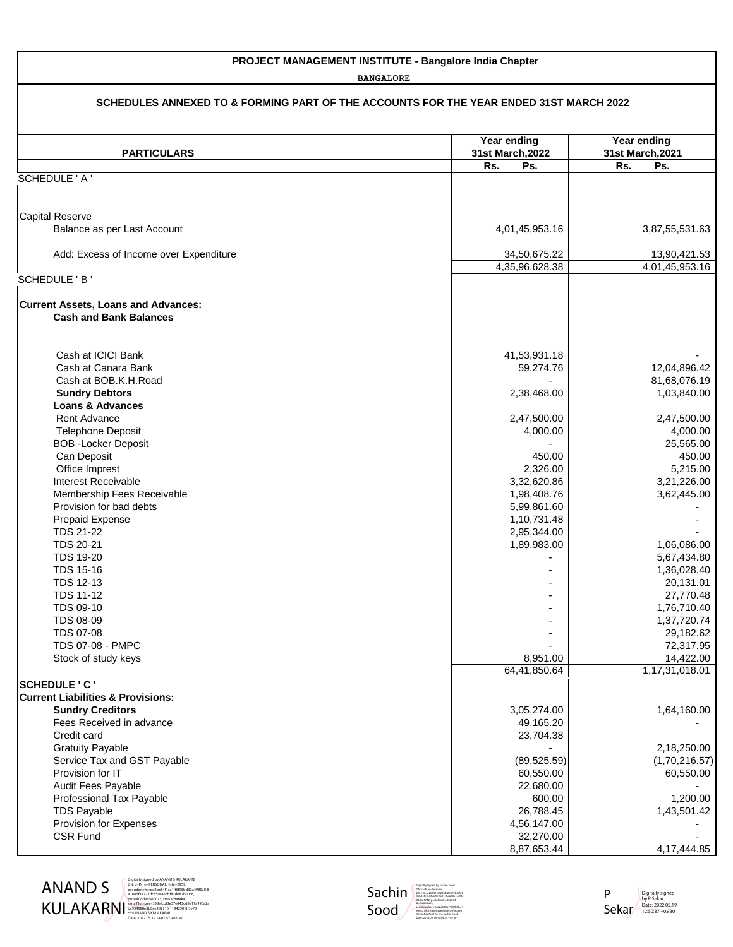## **PROJECT MANAGEMENT INSTITUTE - Bangalore India Chapter**

**BANGALORE**

| SCHEDULES ANNEXED TO & FORMING PART OF THE ACCOUNTS FOR THE YEAR ENDED 31ST MARCH 2022 |                                 |                                 |
|----------------------------------------------------------------------------------------|---------------------------------|---------------------------------|
| <b>PARTICULARS</b>                                                                     | Year ending<br>31st March, 2022 | Year ending<br>31st March, 2021 |
|                                                                                        | Rs.<br>Ps.                      | Rs.<br>Ps.                      |
| SCHEDULE ' A '                                                                         |                                 |                                 |
| <b>Capital Reserve</b>                                                                 |                                 |                                 |
| Balance as per Last Account                                                            | 4,01,45,953.16                  | 3,87,55,531.63                  |
| Add: Excess of Income over Expenditure                                                 | 34,50,675.22<br>4,35,96,628.38  | 13,90,421.53<br>4,01,45,953.16  |
| SCHEDULE 'B'                                                                           |                                 |                                 |
| <b>Current Assets, Loans and Advances:</b><br><b>Cash and Bank Balances</b>            |                                 |                                 |
| Cash at ICICI Bank                                                                     | 41,53,931.18                    |                                 |
| Cash at Canara Bank<br>Cash at BOB.K.H.Road                                            | 59,274.76                       | 12,04,896.42                    |
| <b>Sundry Debtors</b><br><b>Loans &amp; Advances</b>                                   | 2,38,468.00                     | 81,68,076.19<br>1,03,840.00     |
| Rent Advance<br><b>Telephone Deposit</b>                                               | 2,47,500.00<br>4,000.00         | 2,47,500.00<br>4,000.00         |
| <b>BOB</b> - Locker Deposit<br>Can Deposit<br>Office Imprest                           | 450.00<br>2,326.00              | 25,565.00<br>450.00<br>5,215.00 |
| Interest Receivable<br>Membership Fees Receivable                                      | 3,32,620.86<br>1,98,408.76      | 3,21,226.00<br>3,62,445.00      |
| Provision for bad debts                                                                | 5,99,861.60                     |                                 |
| Prepaid Expense<br><b>TDS 21-22</b>                                                    | 1, 10, 731. 48<br>2,95,344.00   |                                 |
| <b>TDS 20-21</b><br><b>TDS 19-20</b>                                                   | 1,89,983.00                     | 1,06,086.00<br>5,67,434.80      |
| <b>TDS 15-16</b>                                                                       |                                 | 1,36,028.40                     |
| <b>TDS 12-13</b><br><b>TDS 11-12</b>                                                   |                                 | 20,131.01<br>27,770.48          |
| <b>TDS 09-10</b>                                                                       |                                 | 1,76,710.40                     |
| <b>TDS 08-09</b><br><b>TDS 07-08</b>                                                   |                                 | 1,37,720.74<br>29,182.62        |
| <b>TDS 07-08 - PMPC</b>                                                                | 8,951.00                        | 72,317.95<br>14,422.00          |
| Stock of study keys                                                                    | 64,41,850.64                    | 1,17,31,018.01                  |
| <b>SCHEDULE 'C'</b>                                                                    |                                 |                                 |
| <b>Current Liabilities &amp; Provisions:</b><br><b>Sundry Creditors</b>                | 3,05,274.00                     | 1,64,160.00                     |
| Fees Received in advance                                                               | 49,165.20                       |                                 |
| Credit card<br><b>Gratuity Payable</b>                                                 | 23,704.38                       | 2,18,250.00                     |
| Service Tax and GST Payable                                                            | (89, 525.59)                    | (1,70,216.57)                   |
| Provision for IT<br>Audit Fees Payable                                                 | 60,550.00<br>22,680.00          | 60,550.00                       |
| Professional Tax Payable                                                               | 600.00                          | 1,200.00                        |
| <b>TDS Payable</b><br>Provision for Expenses                                           | 26,788.45<br>4,56,147.00        | 1,43,501.42                     |
| <b>CSR Fund</b>                                                                        | 32,270.00                       |                                 |
|                                                                                        | 8,87,653.44                     | 4, 17, 444.85                   |

ANAND S KULAKARNI

Digitally signed by ANAND S KULAKARNI DN: c=IN, o=PERSONAL, title=2959, pseudonym=dd2bc84f1ca1ff6f95bd32a4980a84f e168df34727dc850c45cbf83d682b00c8,<br>postalCode=560073, st=Karnataka,<br>sërialNumber=338efcbf3e57e843cd8a11a996a2a<br>bc934988e3b0ae382716f11942501ff3e78,<br>cn=ANAND S KULAKARNI<br>Date: 2022.05.19 14:01:57 +05'30'<br>Date: 2022.05.19 14